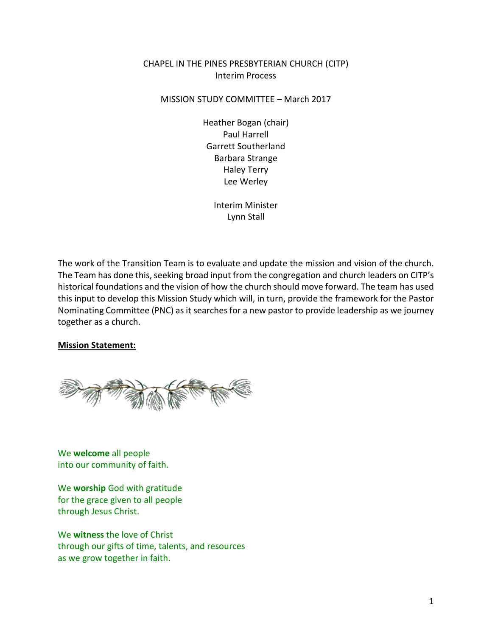# CHAPEL IN THE PINES PRESBYTERIAN CHURCH (CITP) Interim Process

# MISSION STUDY COMMITTEE – March 2017

Heather Bogan (chair) Paul Harrell Garrett Southerland Barbara Strange Haley Terry Lee Werley

> Interim Minister Lynn Stall

The work of the Transition Team is to evaluate and update the mission and vision of the church. The Team has done this, seeking broad input from the congregation and church leaders on CITP's historical foundations and the vision of how the church should move forward. The team has used this input to develop this Mission Study which will, in turn, provide the framework for the Pastor Nominating Committee (PNC) as it searches for a new pastor to provide leadership as we journey together as a church.

# **Mission Statement:**



We **welcome** all people into our community of faith.

We **worship** God with gratitude for the grace given to all people through Jesus Christ.

We **witness** the love of Christ through our gifts of time, talents, and resources as we grow together in faith.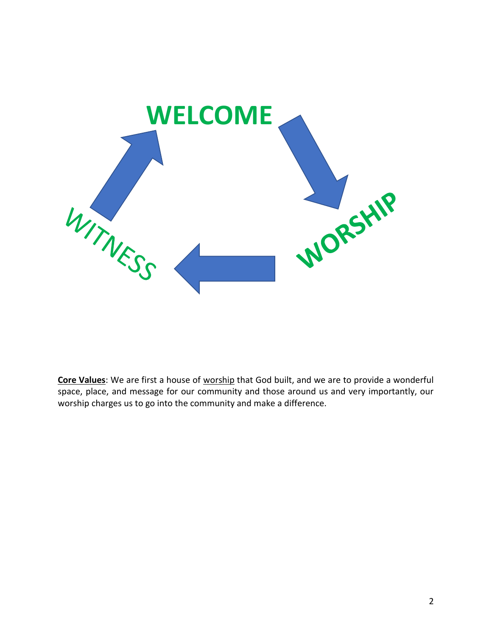

**Core Values**: We are first a house of worship that God built, and we are to provide a wonderful space, place, and message for our community and those around us and very importantly, our worship charges us to go into the community and make a difference.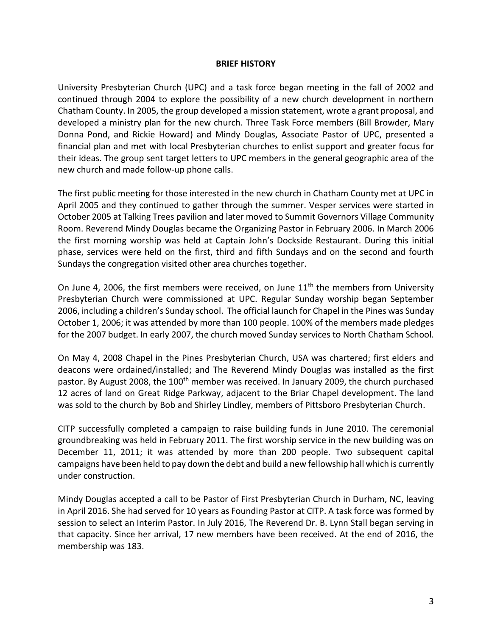#### **BRIEF HISTORY**

University Presbyterian Church (UPC) and a task force began meeting in the fall of 2002 and continued through 2004 to explore the possibility of a new church development in northern Chatham County. In 2005, the group developed a mission statement, wrote a grant proposal, and developed a ministry plan for the new church. Three Task Force members (Bill Browder, Mary Donna Pond, and Rickie Howard) and Mindy Douglas, Associate Pastor of UPC, presented a financial plan and met with local Presbyterian churches to enlist support and greater focus for their ideas. The group sent target letters to UPC members in the general geographic area of the new church and made follow-up phone calls.

The first public meeting for those interested in the new church in Chatham County met at UPC in April 2005 and they continued to gather through the summer. Vesper services were started in October 2005 at Talking Trees pavilion and later moved to Summit Governors Village Community Room. Reverend Mindy Douglas became the Organizing Pastor in February 2006. In March 2006 the first morning worship was held at Captain John's Dockside Restaurant. During this initial phase, services were held on the first, third and fifth Sundays and on the second and fourth Sundays the congregation visited other area churches together.

On June 4, 2006, the first members were received, on June  $11<sup>th</sup>$  the members from University Presbyterian Church were commissioned at UPC. Regular Sunday worship began September 2006, including a children's Sunday school. The official launch for Chapel in the Pines was Sunday October 1, 2006; it was attended by more than 100 people. 100% of the members made pledges for the 2007 budget. In early 2007, the church moved Sunday services to North Chatham School.

On May 4, 2008 Chapel in the Pines Presbyterian Church, USA was chartered; first elders and deacons were ordained/installed; and The Reverend Mindy Douglas was installed as the first pastor. By August 2008, the 100<sup>th</sup> member was received. In January 2009, the church purchased 12 acres of land on Great Ridge Parkway, adjacent to the Briar Chapel development. The land was sold to the church by Bob and Shirley Lindley, members of Pittsboro Presbyterian Church.

CITP successfully completed a campaign to raise building funds in June 2010. The ceremonial groundbreaking was held in February 2011. The first worship service in the new building was on December 11, 2011; it was attended by more than 200 people. Two subsequent capital campaigns have been held to pay down the debt and build a new fellowship hall which is currently under construction.

Mindy Douglas accepted a call to be Pastor of First Presbyterian Church in Durham, NC, leaving in April 2016. She had served for 10 years as Founding Pastor at CITP. A task force was formed by session to select an Interim Pastor. In July 2016, The Reverend Dr. B. Lynn Stall began serving in that capacity. Since her arrival, 17 new members have been received. At the end of 2016, the membership was 183.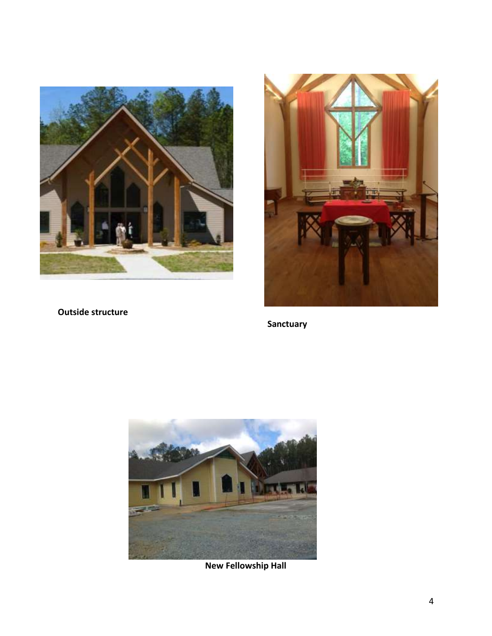



**Outside structure**

**Sanctuary**



**New Fellowship Hall**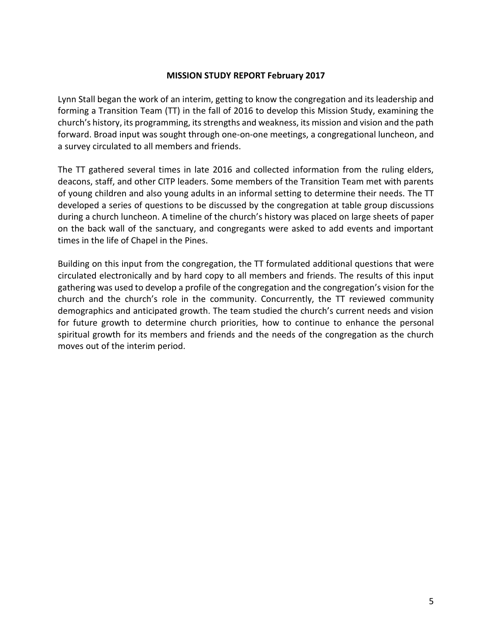#### **MISSION STUDY REPORT February 2017**

Lynn Stall began the work of an interim, getting to know the congregation and its leadership and forming a Transition Team (TT) in the fall of 2016 to develop this Mission Study, examining the church's history, its programming, its strengths and weakness, its mission and vision and the path forward. Broad input was sought through one-on-one meetings, a congregational luncheon, and a survey circulated to all members and friends.

The TT gathered several times in late 2016 and collected information from the ruling elders, deacons, staff, and other CITP leaders. Some members of the Transition Team met with parents of young children and also young adults in an informal setting to determine their needs. The TT developed a series of questions to be discussed by the congregation at table group discussions during a church luncheon. A timeline of the church's history was placed on large sheets of paper on the back wall of the sanctuary, and congregants were asked to add events and important times in the life of Chapel in the Pines.

Building on this input from the congregation, the TT formulated additional questions that were circulated electronically and by hard copy to all members and friends. The results of this input gathering was used to develop a profile of the congregation and the congregation's vision for the church and the church's role in the community. Concurrently, the TT reviewed community demographics and anticipated growth. The team studied the church's current needs and vision for future growth to determine church priorities, how to continue to enhance the personal spiritual growth for its members and friends and the needs of the congregation as the church moves out of the interim period.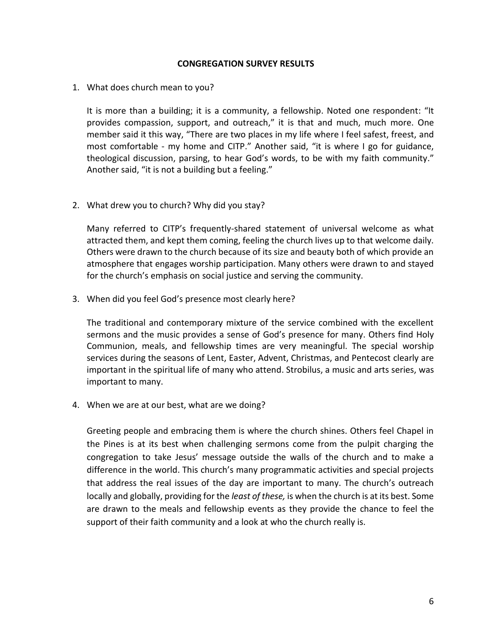#### **CONGREGATION SURVEY RESULTS**

1. What does church mean to you?

It is more than a building; it is a community, a fellowship. Noted one respondent: "It provides compassion, support, and outreach," it is that and much, much more. One member said it this way, "There are two places in my life where I feel safest, freest, and most comfortable - my home and CITP." Another said, "it is where I go for guidance, theological discussion, parsing, to hear God's words, to be with my faith community." Another said, "it is not a building but a feeling."

2. What drew you to church? Why did you stay?

Many referred to CITP's frequently-shared statement of universal welcome as what attracted them, and kept them coming, feeling the church lives up to that welcome daily. Others were drawn to the church because of its size and beauty both of which provide an atmosphere that engages worship participation. Many others were drawn to and stayed for the church's emphasis on social justice and serving the community.

3. When did you feel God's presence most clearly here?

The traditional and contemporary mixture of the service combined with the excellent sermons and the music provides a sense of God's presence for many. Others find Holy Communion, meals, and fellowship times are very meaningful. The special worship services during the seasons of Lent, Easter, Advent, Christmas, and Pentecost clearly are important in the spiritual life of many who attend. Strobilus, a music and arts series, was important to many.

4. When we are at our best, what are we doing?

Greeting people and embracing them is where the church shines. Others feel Chapel in the Pines is at its best when challenging sermons come from the pulpit charging the congregation to take Jesus' message outside the walls of the church and to make a difference in the world. This church's many programmatic activities and special projects that address the real issues of the day are important to many. The church's outreach locally and globally, providing for the *least of these,* is when the church is at its best. Some are drawn to the meals and fellowship events as they provide the chance to feel the support of their faith community and a look at who the church really is.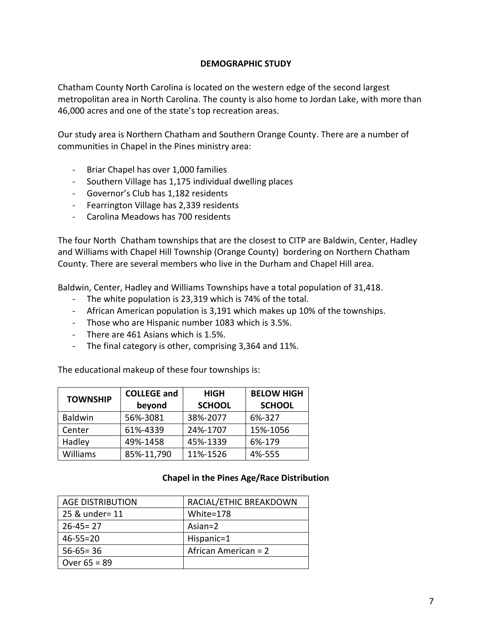## **DEMOGRAPHIC STUDY**

Chatham County North Carolina is located on the western edge of the second largest metropolitan area in North Carolina. The county is also home to Jordan Lake, with more than 46,000 acres and one of the state's top recreation areas.

Our study area is Northern Chatham and Southern Orange County. There are a number of communities in Chapel in the Pines ministry area:

- Briar Chapel has over 1,000 families
- Southern Village has 1,175 individual dwelling places
- Governor's Club has 1,182 residents
- Fearrington Village has 2,339 residents
- Carolina Meadows has 700 residents

The four North Chatham townships that are the closest to CITP are Baldwin, Center, Hadley and Williams with Chapel Hill Township (Orange County) bordering on Northern Chatham County. There are several members who live in the Durham and Chapel Hill area.

Baldwin, Center, Hadley and Williams Townships have a total population of 31,418.

- The white population is 23,319 which is 74% of the total.
- African American population is 3,191 which makes up 10% of the townships.
- Those who are Hispanic number 1083 which is 3.5%.
- There are 461 Asians which is 1.5%.
- The final category is other, comprising 3,364 and 11%.

The educational makeup of these four townships is:

| <b>TOWNSHIP</b> | <b>COLLEGE and</b><br>beyond | <b>HIGH</b><br><b>SCHOOL</b> | <b>BELOW HIGH</b><br><b>SCHOOL</b> |
|-----------------|------------------------------|------------------------------|------------------------------------|
| <b>Baldwin</b>  | 56%-3081                     | 38%-2077                     | 6%-327                             |
| Center          | 61%-4339                     | 24%-1707                     | 15%-1056                           |
| Hadley          | 49%-1458                     | 45%-1339                     | 6%-179                             |
| Williams        | 85%-11,790                   | 11%-1526                     | 4%-555                             |

#### **Chapel in the Pines Age/Race Distribution**

| <b>AGE DISTRIBUTION</b> | RACIAL/ETHIC BREAKDOWN |  |
|-------------------------|------------------------|--|
| 25 & under= 11          | White=178              |  |
| $26 - 45 = 27$          | Asian= $2$             |  |
| $46 - 55 = 20$          | Hispanic=1             |  |
| $56 - 65 = 36$          | African American = 2   |  |
| Over $65 = 89$          |                        |  |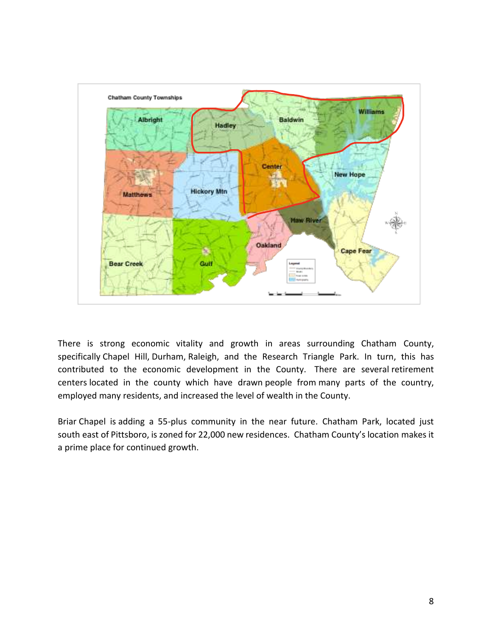

There is strong economic vitality and growth in areas surrounding Chatham County, specifically Chapel Hill, Durham, Raleigh, and the Research Triangle Park. In turn, this has contributed to the economic development in the County. There are several retirement centers located in the county which have drawn people from many parts of the country, employed many residents, and increased the level of wealth in the County.

Briar Chapel is adding a 55-plus community in the near future. Chatham Park, located just south east of Pittsboro, is zoned for 22,000 new residences. Chatham County's location makes it a prime place for continued growth.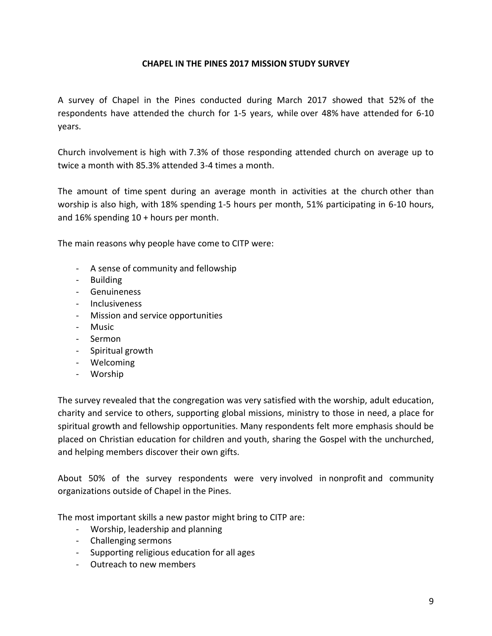## **CHAPEL IN THE PINES 2017 MISSION STUDY SURVEY**

A survey of Chapel in the Pines conducted during March 2017 showed that 52% of the respondents have attended the church for 1-5 years, while over 48% have attended for 6-10 years.

Church involvement is high with 7.3% of those responding attended church on average up to twice a month with 85.3% attended 3-4 times a month.

The amount of time spent during an average month in activities at the church other than worship is also high, with 18% spending 1-5 hours per month, 51% participating in 6-10 hours, and 16% spending 10 + hours per month.

The main reasons why people have come to CITP were:

- A sense of community and fellowship
- **Building**
- Genuineness
- Inclusiveness
- Mission and service opportunities
- Music
- Sermon
- Spiritual growth
- Welcoming
- Worship

The survey revealed that the congregation was very satisfied with the worship, adult education, charity and service to others, supporting global missions, ministry to those in need, a place for spiritual growth and fellowship opportunities. Many respondents felt more emphasis should be placed on Christian education for children and youth, sharing the Gospel with the unchurched, and helping members discover their own gifts.

About 50% of the survey respondents were very involved in nonprofit and community organizations outside of Chapel in the Pines.

The most important skills a new pastor might bring to CITP are:

- Worship, leadership and planning
- Challenging sermons
- Supporting religious education for all ages
- Outreach to new members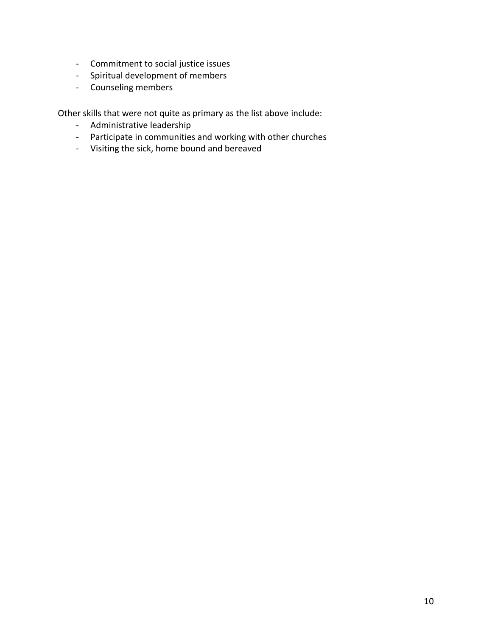- Commitment to social justice issues
- Spiritual development of members
- Counseling members

Other skills that were not quite as primary as the list above include:

- Administrative leadership
- Participate in communities and working with other churches
- Visiting the sick, home bound and bereaved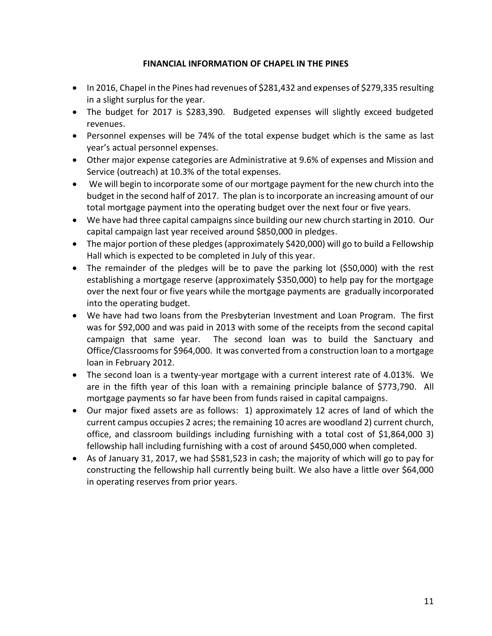## **FINANCIAL INFORMATION OF CHAPEL IN THE PINES**

- In 2016, Chapel in the Pines had revenues of \$281,432 and expenses of \$279,335 resulting in a slight surplus for the year.
- The budget for 2017 is \$283,390. Budgeted expenses will slightly exceed budgeted revenues.
- Personnel expenses will be 74% of the total expense budget which is the same as last year's actual personnel expenses.
- Other major expense categories are Administrative at 9.6% of expenses and Mission and Service (outreach) at 10.3% of the total expenses.
- We will begin to incorporate some of our mortgage payment for the new church into the budget in the second half of 2017. The plan is to incorporate an increasing amount of our total mortgage payment into the operating budget over the next four or five years.
- We have had three capital campaigns since building our new church starting in 2010. Our capital campaign last year received around \$850,000 in pledges.
- The major portion of these pledges (approximately \$420,000) will go to build a Fellowship Hall which is expected to be completed in July of this year.
- The remainder of the pledges will be to pave the parking lot (\$50,000) with the rest establishing a mortgage reserve (approximately \$350,000) to help pay for the mortgage over the next four or five years while the mortgage payments are gradually incorporated into the operating budget.
- We have had two loans from the Presbyterian Investment and Loan Program. The first was for \$92,000 and was paid in 2013 with some of the receipts from the second capital campaign that same year. The second loan was to build the Sanctuary and Office/Classrooms for \$964,000. It was converted from a construction loan to a mortgage loan in February 2012.
- The second loan is a twenty-year mortgage with a current interest rate of 4.013%. We are in the fifth year of this loan with a remaining principle balance of \$773,790. All mortgage payments so far have been from funds raised in capital campaigns.
- Our major fixed assets are as follows: 1) approximately 12 acres of land of which the current campus occupies 2 acres; the remaining 10 acres are woodland 2) current church, office, and classroom buildings including furnishing with a total cost of \$1,864,000 3) fellowship hall including furnishing with a cost of around \$450,000 when completed.
- As of January 31, 2017, we had \$581,523 in cash; the majority of which will go to pay for constructing the fellowship hall currently being built. We also have a little over \$64,000 in operating reserves from prior years.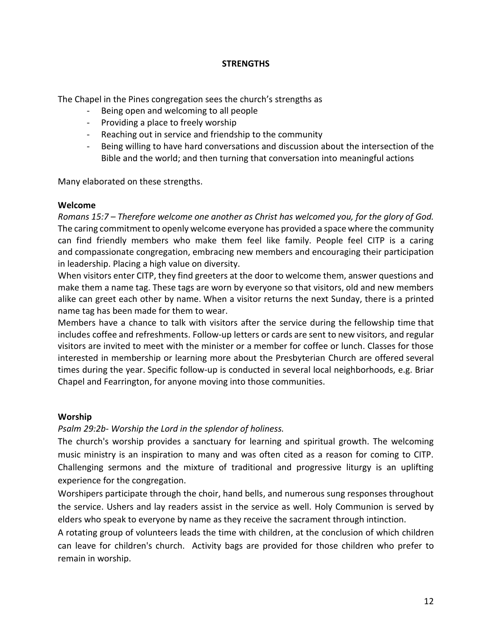### **STRENGTHS**

The Chapel in the Pines congregation sees the church's strengths as

- Being open and welcoming to all people
- Providing a place to freely worship
- Reaching out in service and friendship to the community
- Being willing to have hard conversations and discussion about the intersection of the Bible and the world; and then turning that conversation into meaningful actions

Many elaborated on these strengths.

#### **Welcome**

*Romans 15:7 – Therefore welcome one another as Christ has welcomed you, for the glory of God.* The caring commitment to openly welcome everyone has provided a space where the community can find friendly members who make them feel like family. People feel CITP is a caring and compassionate congregation, embracing new members and encouraging their participation in leadership. Placing a high value on diversity.

When visitors enter CITP, they find greeters at the door to welcome them, answer questions and make them a name tag. These tags are worn by everyone so that visitors, old and new members alike can greet each other by name. When a visitor returns the next Sunday, there is a printed name tag has been made for them to wear.

Members have a chance to talk with visitors after the service during the fellowship time that includes coffee and refreshments. Follow-up letters or cards are sent to new visitors, and regular visitors are invited to meet with the minister or a member for coffee or lunch. Classes for those interested in membership or learning more about the Presbyterian Church are offered several times during the year. Specific follow-up is conducted in several local neighborhoods, e.g. Briar Chapel and Fearrington, for anyone moving into those communities.

### **Worship**

### *Psalm 29:2b- Worship the Lord in the splendor of holiness.*

The church's worship provides a sanctuary for learning and spiritual growth. The welcoming music ministry is an inspiration to many and was often cited as a reason for coming to CITP. Challenging sermons and the mixture of traditional and progressive liturgy is an uplifting experience for the congregation.

Worshipers participate through the choir, hand bells, and numerous sung responses throughout the service. Ushers and lay readers assist in the service as well. Holy Communion is served by elders who speak to everyone by name as they receive the sacrament through intinction.

A rotating group of volunteers leads the time with children, at the conclusion of which children can leave for children's church. Activity bags are provided for those children who prefer to remain in worship.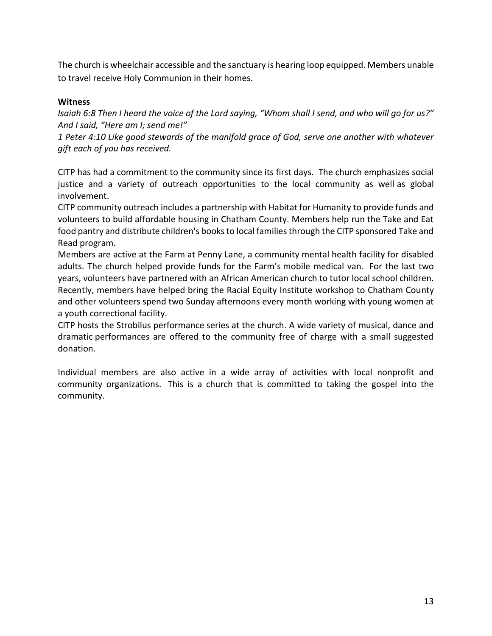The church is wheelchair accessible and the sanctuary is hearing loop equipped. Members unable to travel receive Holy Communion in their homes.

## **Witness**

*Isaiah 6:8 Then I heard the voice of the Lord saying, "Whom shall I send, and who will go for us?" And I said, "Here am I; send me!"*

*1 Peter 4:10 Like good stewards of the manifold grace of God, serve one another with whatever gift each of you has received.*

CITP has had a commitment to the community since its first days. The church emphasizes social justice and a variety of outreach opportunities to the local community as well as global involvement.

CITP community outreach includes a partnership with Habitat for Humanity to provide funds and volunteers to build affordable housing in Chatham County. Members help run the Take and Eat food pantry and distribute children's books to local families through the CITP sponsored Take and Read program.

Members are active at the Farm at Penny Lane, a community mental health facility for disabled adults. The church helped provide funds for the Farm's mobile medical van. For the last two years, volunteers have partnered with an African American church to tutor local school children. Recently, members have helped bring the Racial Equity Institute workshop to Chatham County and other volunteers spend two Sunday afternoons every month working with young women at a youth correctional facility.

CITP hosts the Strobilus performance series at the church. A wide variety of musical, dance and dramatic performances are offered to the community free of charge with a small suggested donation.

Individual members are also active in a wide array of activities with local nonprofit and community organizations. This is a church that is committed to taking the gospel into the community.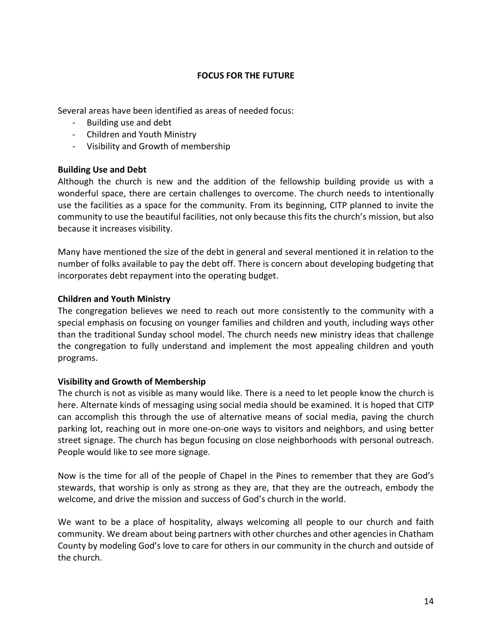### **FOCUS FOR THE FUTURE**

Several areas have been identified as areas of needed focus:

- Building use and debt
- Children and Youth Ministry
- Visibility and Growth of membership

## **Building Use and Debt**

Although the church is new and the addition of the fellowship building provide us with a wonderful space, there are certain challenges to overcome. The church needs to intentionally use the facilities as a space for the community. From its beginning, CITP planned to invite the community to use the beautiful facilities, not only because this fits the church's mission, but also because it increases visibility.

Many have mentioned the size of the debt in general and several mentioned it in relation to the number of folks available to pay the debt off. There is concern about developing budgeting that incorporates debt repayment into the operating budget.

### **Children and Youth Ministry**

The congregation believes we need to reach out more consistently to the community with a special emphasis on focusing on younger families and children and youth, including ways other than the traditional Sunday school model. The church needs new ministry ideas that challenge the congregation to fully understand and implement the most appealing children and youth programs.

### **Visibility and Growth of Membership**

The church is not as visible as many would like. There is a need to let people know the church is here. Alternate kinds of messaging using social media should be examined. It is hoped that CITP can accomplish this through the use of alternative means of social media, paving the church parking lot, reaching out in more one-on-one ways to visitors and neighbors, and using better street signage. The church has begun focusing on close neighborhoods with personal outreach. People would like to see more signage.

Now is the time for all of the people of Chapel in the Pines to remember that they are God's stewards, that worship is only as strong as they are, that they are the outreach, embody the welcome, and drive the mission and success of God's church in the world.

We want to be a place of hospitality, always welcoming all people to our church and faith community. We dream about being partners with other churches and other agencies in Chatham County by modeling God's love to care for others in our community in the church and outside of the church.